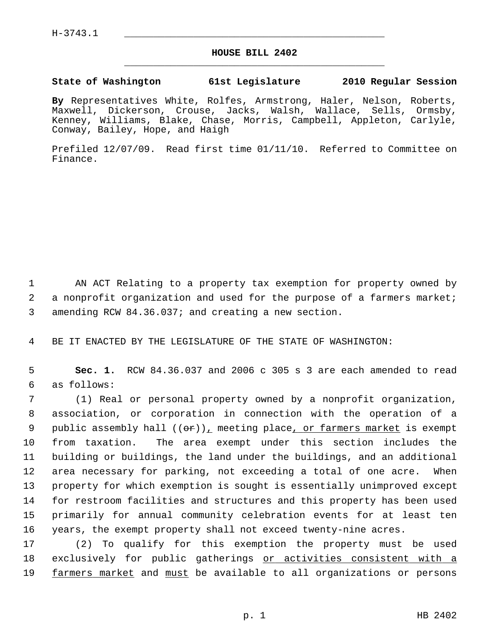$H-3743.1$ 

## **HOUSE BILL 2402** \_\_\_\_\_\_\_\_\_\_\_\_\_\_\_\_\_\_\_\_\_\_\_\_\_\_\_\_\_\_\_\_\_\_\_\_\_\_\_\_\_\_\_\_\_

## **State of Washington 61st Legislature 2010 Regular Session**

**By** Representatives White, Rolfes, Armstrong, Haler, Nelson, Roberts, Maxwell, Dickerson, Crouse, Jacks, Walsh, Wallace, Sells, Ormsby, Kenney, Williams, Blake, Chase, Morris, Campbell, Appleton, Carlyle, Conway, Bailey, Hope, and Haigh

Prefiled 12/07/09. Read first time 01/11/10. Referred to Committee on Finance.

 1 AN ACT Relating to a property tax exemption for property owned by 2 a nonprofit organization and used for the purpose of a farmers market; 3 amending RCW 84.36.037; and creating a new section.

4 BE IT ENACTED BY THE LEGISLATURE OF THE STATE OF WASHINGTON:

 5 **Sec. 1.** RCW 84.36.037 and 2006 c 305 s 3 are each amended to read 6 as follows:

 7 (1) Real or personal property owned by a nonprofit organization, 8 association, or corporation in connection with the operation of a 9 public assembly hall  $((\theta \cdot \hat{r}))_L$  meeting place<sub>l</sub> or farmers market is exempt 10 from taxation. The area exempt under this section includes the 11 building or buildings, the land under the buildings, and an additional 12 area necessary for parking, not exceeding a total of one acre. When 13 property for which exemption is sought is essentially unimproved except 14 for restroom facilities and structures and this property has been used 15 primarily for annual community celebration events for at least ten 16 years, the exempt property shall not exceed twenty-nine acres.

17 (2) To qualify for this exemption the property must be used 18 exclusively for public gatherings or activities consistent with a 19 farmers market and must be available to all organizations or persons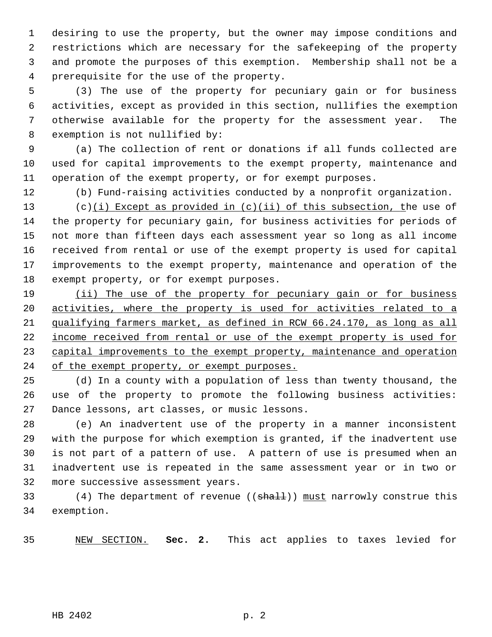1 desiring to use the property, but the owner may impose conditions and 2 restrictions which are necessary for the safekeeping of the property 3 and promote the purposes of this exemption. Membership shall not be a 4 prerequisite for the use of the property.

 5 (3) The use of the property for pecuniary gain or for business 6 activities, except as provided in this section, nullifies the exemption 7 otherwise available for the property for the assessment year. The 8 exemption is not nullified by:

 9 (a) The collection of rent or donations if all funds collected are 10 used for capital improvements to the exempt property, maintenance and 11 operation of the exempt property, or for exempt purposes.

12 (b) Fund-raising activities conducted by a nonprofit organization.

13 (c)(i) Except as provided in  $(c)(ii)$  of this subsection, the use of 14 the property for pecuniary gain, for business activities for periods of 15 not more than fifteen days each assessment year so long as all income 16 received from rental or use of the exempt property is used for capital 17 improvements to the exempt property, maintenance and operation of the 18 exempt property, or for exempt purposes.

 (ii) The use of the property for pecuniary gain or for business activities, where the property is used for activities related to a qualifying farmers market, as defined in RCW 66.24.170, as long as all income received from rental or use of the exempt property is used for capital improvements to the exempt property, maintenance and operation of the exempt property, or exempt purposes.

25 (d) In a county with a population of less than twenty thousand, the 26 use of the property to promote the following business activities: 27 Dance lessons, art classes, or music lessons.

28 (e) An inadvertent use of the property in a manner inconsistent 29 with the purpose for which exemption is granted, if the inadvertent use 30 is not part of a pattern of use. A pattern of use is presumed when an 31 inadvertent use is repeated in the same assessment year or in two or 32 more successive assessment years.

33 (4) The department of revenue ((shall)) must narrowly construe this 34 exemption.

35 NEW SECTION. **Sec. 2.** This act applies to taxes levied for